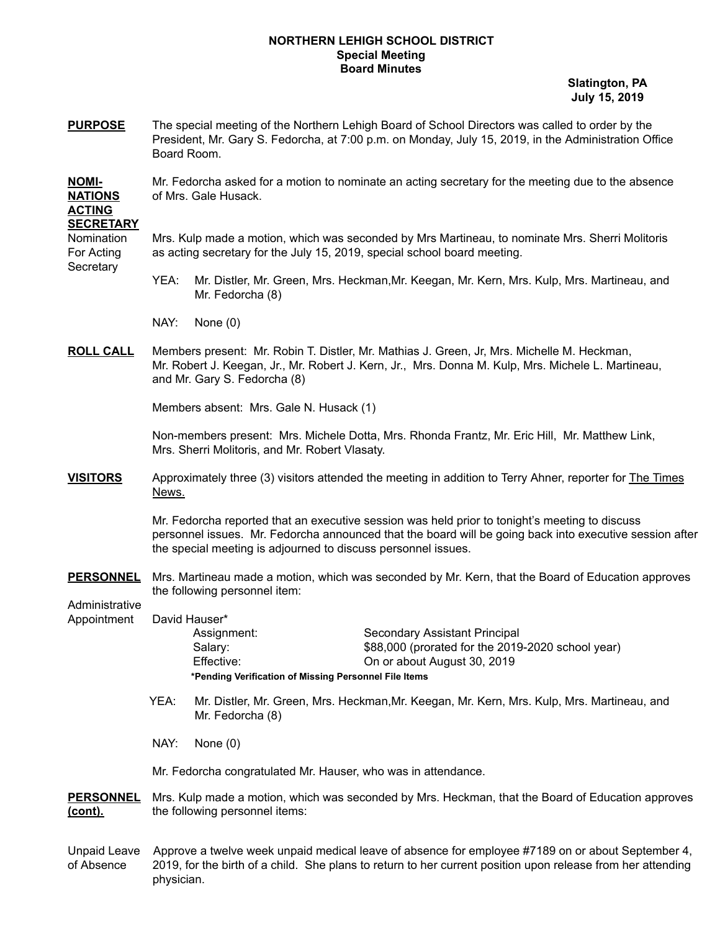## **NORTHERN LEHIGH SCHOOL DISTRICT Special Meeting Board Minutes**

**Slatington, PA July 15, 2019**

**PURPOSE** The special meeting of the Northern Lehigh Board of School Directors was called to order by the President, Mr. Gary S. Fedorcha, at 7:00 p.m. on Monday, July 15, 2019, in the Administration Office Board Room.

**NOMI-** Mr. Fedorcha asked for a motion to nominate an acting secretary for the meeting due to the absence **NATIONS** of Mrs. Gale Husack.

## **ACTING SECRETARY**

**Secretary** 

Nomination Mrs. Kulp made a motion, which was seconded by Mrs Martineau, to nominate Mrs. Sherri Molitoris For Acting as acting secretary for the July 15, 2019, special school board meeting.

- YEA: Mr. Distler, Mr. Green, Mrs. Heckman,Mr. Keegan, Mr. Kern, Mrs. Kulp, Mrs. Martineau, and Mr. Fedorcha (8)
- NAY: None (0)
- **ROLL CALL** Members present: Mr. Robin T. Distler, Mr. Mathias J. Green, Jr, Mrs. Michelle M. Heckman, Mr. Robert J. Keegan, Jr., Mr. Robert J. Kern, Jr., Mrs. Donna M. Kulp, Mrs. Michele L. Martineau, and Mr. Gary S. Fedorcha (8)

Members absent: Mrs. Gale N. Husack (1)

Non-members present: Mrs. Michele Dotta, Mrs. Rhonda Frantz, Mr. Eric Hill, Mr. Matthew Link, Mrs. Sherri Molitoris, and Mr. Robert Vlasaty.

**VISITORS** Approximately three (3) visitors attended the meeting in addition to Terry Ahner, reporter for The Times News.

> Mr. Fedorcha reported that an executive session was held prior to tonight's meeting to discuss personnel issues. Mr. Fedorcha announced that the board will be going back into executive session after the special meeting is adjourned to discuss personnel issues.

**PERSONNEL** Mrs. Martineau made a motion, which was seconded by Mr. Kern, that the Board of Education approves the following personnel item:

**Administrative** Appointment David Hauser\*

Assignment: Secondary Assistant Principal Salary:  $$88,000$  (prorated for the 2019-2020 school year) Effective: On or about August 30, 2019 **\*Pending Verification of Missing Personnel File Items**

- YEA: Mr. Distler, Mr. Green, Mrs. Heckman,Mr. Keegan, Mr. Kern, Mrs. Kulp, Mrs. Martineau, and Mr. Fedorcha (8)
- NAY: None (0)

Mr. Fedorcha congratulated Mr. Hauser, who was in attendance.

- **PERSONNEL** Mrs. Kulp made a motion, which was seconded by Mrs. Heckman, that the Board of Education approves **(cont).** the following personnel items:
- Unpaid Leave Approve a twelve week unpaid medical leave of absence for employee #7189 on or about September 4, of Absence 2019, for the birth of a child. She plans to return to her current position upon release from her attending physician.